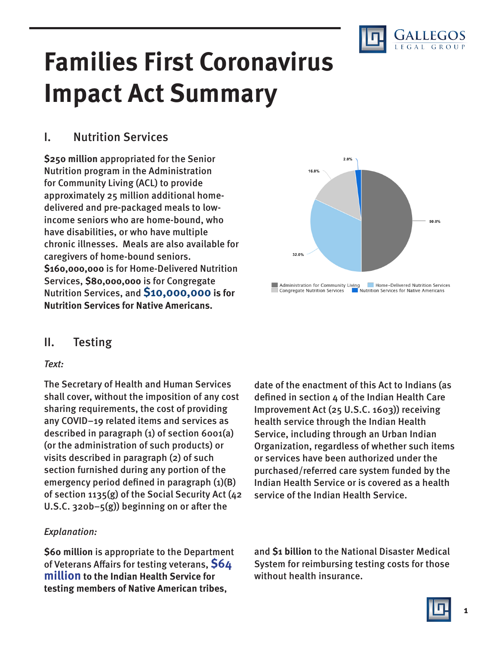

# **Families First Coronavirus Impact Act Summary**

## I. Nutrition Services

**\$250 million** appropriated for the Senior Nutrition program in the Administration for Community Living (ACL) to provide approximately 25 million additional homedelivered and pre-packaged meals to lowincome seniors who are home-bound, who have disabilities, or who have multiple chronic illnesses. Meals are also available for caregivers of home-bound seniors. **\$160,000,000** is for Home-Delivered Nutrition Services, **\$80,000,000** is for Congregate Nutrition Services, and **\$10,000,000 is for Nutrition Services for Native Americans.**



### II. Testing

#### Text:

The Secretary of Health and Human Services shall cover, without the imposition of any cost sharing requirements, the cost of providing any COVID–19 related items and services as described in paragraph (1) of section 6001(a) (or the administration of such products) or visits described in paragraph (2) of such section furnished during any portion of the emergency period defined in paragraph  $(1)(B)$ of section 1135(g) of the Social Security Act (42 U.S.C.  $320b-5(g)$ ) beginning on or after the

#### Explanation:

**\$60 million** is appropriate to the Department of Veterans Affairs for testing veterans, **\$64 million to the Indian Health Service for testing members of Native American tribes**,

date of the enactment of this Act to Indians (as defined in section 4 of the Indian Health Care Improvement Act (25 U.S.C. 1603)) receiving health service through the Indian Health Service, including through an Urban Indian Organization, regardless of whether such items or services have been authorized under the purchased/referred care system funded by the Indian Health Service or is covered as a health service of the Indian Health Service.

and **\$1 billion** to the National Disaster Medical System for reimbursing testing costs for those without health insurance.

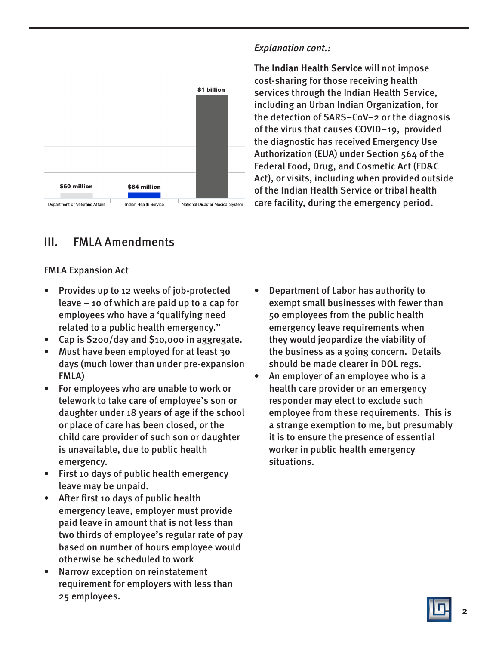

#### Explanation cont.:

The **Indian Health Service** will not impose cost-sharing for those receiving health services through the Indian Health Service, including an Urban Indian Organization, for the detection of SARS–CoV–2 or the diagnosis of the virus that causes COVID–19, provided the diagnostic has received Emergency Use Authorization (EUA) under Section 564 of the Federal Food, Drug, and Cosmetic Act (FD&C Act), or visits, including when provided outside of the Indian Health Service or tribal health care facility, during the emergency period.

## III. FMLA Amendments

#### FMLA Expansion Act

- Provides up to 12 weeks of job-protected leave – 10 of which are paid up to a cap for employees who have a 'qualifying need related to a public health emergency."
- Cap is \$200/day and \$10,000 in aggregate.
- Must have been employed for at least 30 days (much lower than under pre-expansion FMLA)
- For employees who are unable to work or telework to take care of employee's son or daughter under 18 years of age if the school or place of care has been closed, or the child care provider of such son or daughter is unavailable, due to public health emergency.
- First 10 days of public health emergency leave may be unpaid.
- After first 10 days of public health emergency leave, employer must provide paid leave in amount that is not less than two thirds of employee's regular rate of pay based on number of hours employee would otherwise be scheduled to work
- Narrow exception on reinstatement requirement for employers with less than 25 employees.
- Department of Labor has authority to exempt small businesses with fewer than 50 employees from the public health emergency leave requirements when they would jeopardize the viability of the business as a going concern. Details should be made clearer in DOL regs.
- An employer of an employee who is a health care provider or an emergency responder may elect to exclude such employee from these requirements. This is a strange exemption to me, but presumably it is to ensure the presence of essential worker in public health emergency situations.

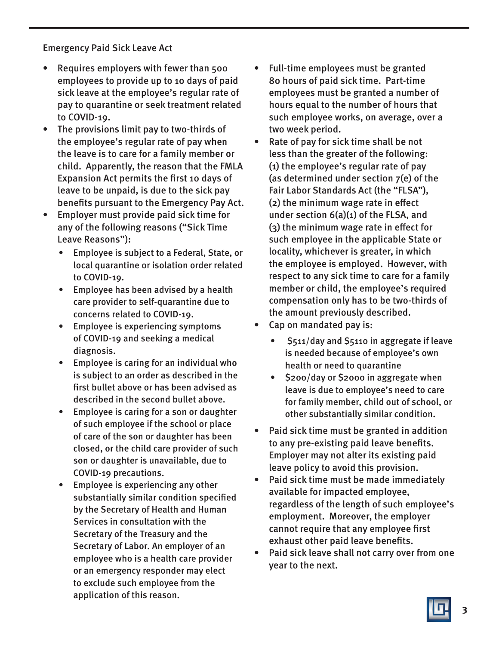Emergency Paid Sick Leave Act

- Requires employers with fewer than 500 employees to provide up to 10 days of paid sick leave at the employee's regular rate of pay to quarantine or seek treatment related to COVID-19.
- The provisions limit pay to two-thirds of the employee's regular rate of pay when the leave is to care for a family member or child. Apparently, the reason that the FMLA Expansion Act permits the first 10 days of leave to be unpaid, is due to the sick pay benefits pursuant to the Emergency Pay Act.
- Employer must provide paid sick time for any of the following reasons ("Sick Time Leave Reasons"):
	- Employee is subject to a Federal, State, or local quarantine or isolation order related to COVID-19.
	- Employee has been advised by a health care provider to self-quarantine due to concerns related to COVID-19.
	- Employee is experiencing symptoms of COVID-19 and seeking a medical diagnosis.
	- Employee is caring for an individual who is subject to an order as described in the first bullet above or has been advised as described in the second bullet above.
	- Employee is caring for a son or daughter of such employee if the school or place of care of the son or daughter has been closed, or the child care provider of such son or daughter is unavailable, due to COVID-19 precautions.
	- Employee is experiencing any other substantially similar condition specified by the Secretary of Health and Human Services in consultation with the Secretary of the Treasury and the Secretary of Labor. An employer of an employee who is a health care provider or an emergency responder may elect to exclude such employee from the application of this reason.
- Full-time employees must be granted 80 hours of paid sick time. Part-time employees must be granted a number of hours equal to the number of hours that such employee works, on average, over a two week period.
- Rate of pay for sick time shall be not less than the greater of the following: (1) the employee's regular rate of pay (as determined under section 7(e) of the Fair Labor Standards Act (the "FLSA"), (2) the minimum wage rate in effect under section 6(a)(1) of the FLSA, and (3) the minimum wage rate in effect for such employee in the applicable State or locality, whichever is greater, in which the employee is employed. However, with respect to any sick time to care for a family member or child, the employee's required compensation only has to be two-thirds of the amount previously described.
- Cap on mandated pay is:
	- \$511/day and \$5110 in aggregate if leave is needed because of employee's own health or need to quarantine
	- \$200/day or \$2000 in aggregate when leave is due to employee's need to care for family member, child out of school, or other substantially similar condition.
- Paid sick time must be granted in addition to any pre-existing paid leave benefits. Employer may not alter its existing paid leave policy to avoid this provision.
- Paid sick time must be made immediately available for impacted employee, regardless of the length of such employee's employment. Moreover, the employer cannot require that any employee first exhaust other paid leave benefits.
- Paid sick leave shall not carry over from one year to the next.